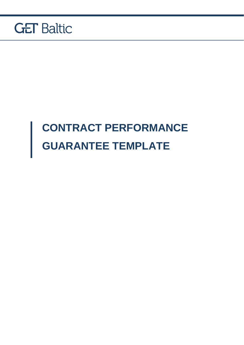

## **CONTRACT PERFORMANCE GUARANTEE TEMPLATE**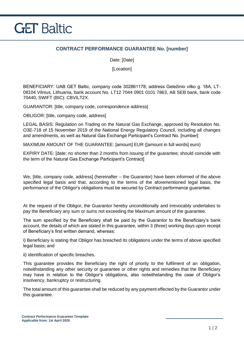

## **CONTRACT PERFORMANCE GUARANTEE No. [number]**

Date: [Date]

**[Location]** 

BENEFICIARY: UAB GET Baltic, company code 302861178, address Geležinio vilko g. 18A, LT-08104 Vilnius, Lithuania, bank account No. LT12 7044 0901 0101 7863, AB SEB bank, bank code 70440, SWIFT (BIC): CBVILT2X.

GUARANTOR: [title, company code, correspondence address]

OBLIGOR: [title, company code, address]

LEGAL BASIS: Regulation on Trading on the Natural Gas Exchange, approved by Resolution No. O3E-718 of 15 November 2019 of the National Energy Regulatory Council, including all changes and amendments, as well as Natural Gas Exchange Participant's Contract No. [number]

MAXIMUM AMOUNT OF THE GUARANTEE: [amount] EUR ([amount in full words] euro)

EXPIRY DATE: [date; no shorter than 2 months from issuing of the guarantee; should coincide with the term of the Natural Gas Exchange Participant's Contract]

We, [title, company code, address] (hereinafter – the Guarantor) have been informed of the above specified legal basis and that, according to the terms of the aforementioned legal basis, the performance of the Obligor's obligations must be secured by Contract performance guarantee.

At the request of the Obligor, the Guarantor hereby unconditionally and irrevocably undertakes to pay the Beneficiary any sum or sums not exceeding the Maximum amount of the guarantee.

The sum specified by the Beneficiary shall be paid by the Guarantor to the Beneficiary's bank account, the details of which are stated in this guarantee, within 3 (three) working days upon receipt of Beneficiary's first written demand, whereas:

i) Beneficiary is stating that Obligor has breached its obligations under the terms of above specified legal basis; and

ii) identification of specific breaches.

This guarantee provides the Beneficiary the right of priority to the fulfilment of an obligation, notwithstanding any other security or guarantee or other rights and remedies that the Beneficiary may have in relation to the Obligor's obligations, also notwithstanding the case of Obligor's insolvency, bankruptcy or restructuring.

The total amount of this guarantee shall be reduced by any payment effected by the Guarantor under this guarantee.